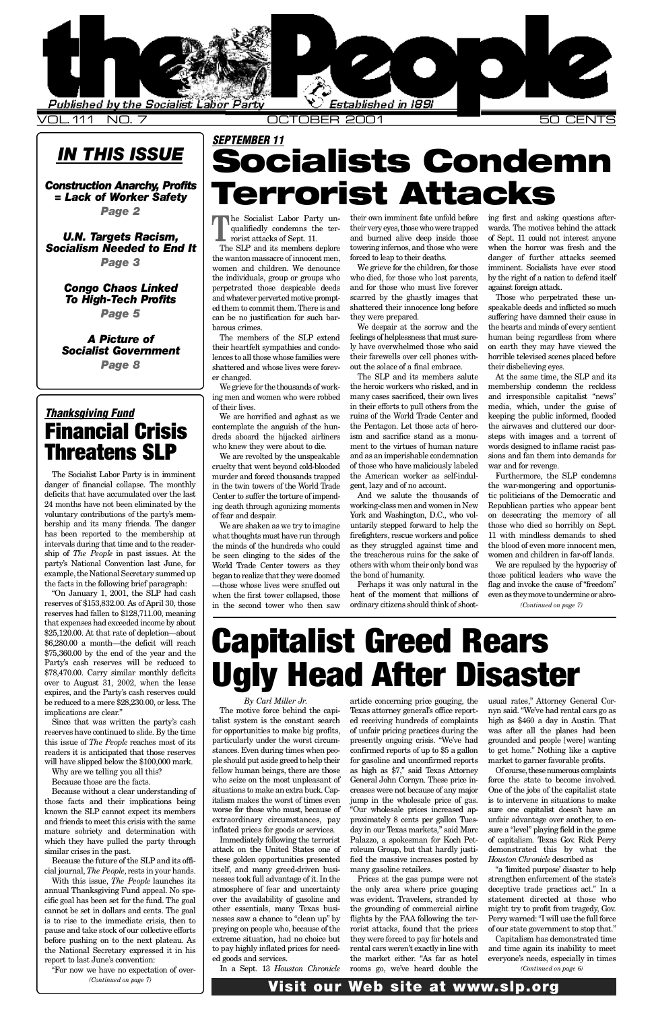### *IN THIS ISSUE*

*Construction Anarchy. Profits = Lack of Worker Safety Page 2*

*U . N . Ta rgets Racism, [Socialism Needed to End It](#page-2-0) Page 3*

> *[Congo Chaos Linked](#page-4-0)* **To High-Tech Profits** *Page 5*

*A Picture of* **Socialist Government** *Page 8*

> article concerning price gouging, the Texas attorney general's office reported receiving hundreds of complaints of unfair pricing practices during the presently ongoing crisis. "We've had confirmed reports of up to \$5 a gallon for gasoline and unconfirmed reports as high as  $$7$ ," said Texas Attorney General John Cornyn. These price increases were not because of any major jump in the wholesale price of gas. "Our wholesale prices increased approximately 8 cents per gallon Tuesday in our Texas markets," said Marc Palazzo, a spokesman for Koch Petroleum Group, but that hardly justified the massive increases posted by many gasoline retailers. Prices at the gas pumps were not the only area where price gouging was evident. Travelers, stranded by the grounding of commercial airline flights by the FAA following the terrorist attacks, found that the prices they were forced to pay for hotels and rental cars weren't exactly in line with the market either. "As far as hotel rooms go, we've heard double the

*By Carl Miller Jr.* The motive force behind the capitalist system is the constant search for opportunities to make big profits, particularly under the worst circumstances. Even during times when people should put aside greed to help their fellow human beings, there are those who seize on the most unpleasant of situations to make an extra buck. Capitalism makes the worst of times even worse for those who must, because of extraordinary circumstances, pay inflated prices for goods or services. Immediately following the terrorist attack on the United States one of these golden opportunities presented itself, and many greed-driven businesses took full advantage of it. In the atmosphere of fear and uncertainty over the availability of gasoline and other essentials, many Texas businesses saw a chance to "clean up" by preying on people who, because of the extreme situation, had no choice but to pay highly inflated prices for needed goods and services.

In a Sept. 13 *Houston Chronicle*

### Visit our Web site at www.slp.org

 $\frac{1}{2}$ he Socialist Labor Party unqualifiedly condemns the terrorist attacks of Sept. 11.

The SLP and its members deplore the wanton massacre of innocent men, women and children. We denounce the individuals, group or groups who perpetrated those despicable deeds and whatever perverted motive prompted them to commit them. There is and can be no justification for such barbarous crimes.

The members of the SLP extend their heartfelt sympathies and condolences to all those whose families were shattered and whose lives were forever changed.

<span id="page-0-0"></span>

Furthermore, the SLP condemns the war-mongering and opportunistic politicians of the Democratic and Republican parties who appear bent on desecrating the memory of all those who died so horribly on Sept. 11 with mindless demands to shed the blood of even more innocent men, women and children in far-off lands.

We grieve for the thousands of working men and women who were robbed of their lives.

"On January 1, 2001, the SLP had cash reserves of \$153,832.00. As of April 30, those reserves had fallen to \$128,711.00, meaning that expenses had exceeded income by about \$25,120.00. At that rate of depletion—about \$6,280.00 a month—the deficit will reach \$75,360.00 by the end of the year and the Party's cash reserves will be reduced to \$78,470.00. Carry similar monthly deficits over to August 31, 2002, when the lease expires, and the Party's cash reserves could be reduced to a mere \$28,230.00, or less. The implications are clear."

We are horrified and aghast as we contemplate the anguish of the hundreds aboard the hijacked airliners who knew they were about to die.

We are revolted by the unspeakable cruelty that went beyond cold-blooded murder and forced thousands trapped in the twin towers of the World Trade Center to suffer the torture of impending death through agonizing moments of fear and despair.

We are shaken as we try to imagine what thoughts must have run through the minds of the hundreds who could be seen clinging to the sides of the World Trade Center towers as they began to realize that they were doomed — those whose lives were snuffed out when the first tower collapsed, those in the second tower who then saw

their own imminent fate unfold before their very eyes, those who were trapped and burned alive deep inside those towering infernos, and those who were forced to leap to their deaths.

We grieve for the children, for those who died, for those who lost parents, and for those who must live forever scarred by the ghastly images that shattered their innocence long before they were prepared.

We despair at the sorrow and the feelings of helplessness that must surely have overwhelmed those who said their farewells over cell phones without the solace of a final embrace.

The SLP and its members salute the heroic workers who risked, and in many cases sacrificed, their own lives in their efforts to pull others from the ruins of the World Trade Center and the Pentagon. Let those acts of heroism and sacrifice stand as a monument to the virtues of human nature and as an imperishable condemnation of those who have maliciously labeled the American worker as self-indulgent, lazy and of no account.

And we salute the thousands of working-class men and women in New York and Washington, D.C., who voluntarily stepped forward to help the firefighters, rescue workers and police as they struggled against time and the treacherous ruins for the sake of others with whom their only bond was the bond of humanity.

> usual rates," Attorney General Cornyn said. "We've had rental cars go as high as \$460 a day in Austin. That was after all the planes had been grounded and people [were] wanting to get home." Nothing like a captive market to garner favorable profits. Of course, these numerous complaints force the state to become involved. One of the jobs of the capitalist state is to intervene in situations to make sure one capitalist doesn't have an unfair advantage over another, to ensure a "level" playing field in the game of capitalism. Texas Gov. Rick Perry demonstrated this by what the **Houston Chronicle described as** "a 'limited purpose' disaster to help strengthen enforcement of the state's deceptive trade practices act." In a statement directed at those who might try to profit from tragedy, Gov. Perry warned: "I will use the full force of our state government to stop that." Capitalism has demonstrated time and time again its inability to meet everyone's needs, especially in times *(Continued on page 6)*

Perhaps it was only natural in the heat of the moment that millions of ordinary citizens should think of shooting first and asking questions afterwards. The motives behind the attack of Sept. 11 could not interest anyone when the horror was fresh and the danger of further attacks seemed imminent. Socialists have ever stood by the right of a nation to defend itself against foreign attack.

Those who perpetrated these unspeakable deeds and inflicted so much suffering have damned their cause in the hearts and minds of every sentient human being regardless from where on earth they may have viewed the horrible televised scenes placed before their disbelieving eyes.

At the same time, the SLP and its membership condemn the reckless and irresponsible capitalist "news" media, which, under the guise of keeping the public informed, flooded the airwaves and cluttered our doorsteps with images and a torrent of words designed to inflame racist passions and fan them into demands for war and for revenge.

The Socialist Labor Party is in imminent danger of financial collapse. The monthly deficits that have accumulated over the last 24 months have not been eliminated by the voluntary contributions of the party's membership and its many friends. The danger has been reported to the membership at intervals during that time and to the readership of *The People* in past issues. At the party's National Convention last June, for example, the National Secretary summed up the facts in the following brief paragraph:

We are repulsed by the hypocrisy of those political leaders who wave the flag and invoke the cause of "freedom" even as they move to undermine or abro-*(Continued on page 7)*

Since that was written the party's cash reserves have continued to slide. By the time this issue of *The People* reaches most of its readers it is anticipated that those reserves will have slipped below the \$100,000 mark.

Why are we telling you all this? Because those are the facts.

Because without a clear understanding of those facts and their implications being known the SLP cannot expect its members and friends to meet this crisis with the same mature sobriety and determination with which they have pulled the party through similar crises in the past.

Because the future of the SLP and its official journal, *The People,*rests in your hands.

With this issue, *The People* launches its annual Thanksgiving Fund appeal. No specific goal has been set for the fund. The goal cannot be set in dollars and cents. The goal is to rise to the immediate crisis, then to pause and take stock of our collective efforts before pushing on to the next plateau. As the National Secretary expressed it in his report to last June's convention:

## *SEPTEMBER 11* Socialists Condemn Terrorist Attacks

# Capitalist Greed Rears Ugly Head After Disaster

"For now we have no expectation of over-*(Continued on page 7)*

### *Thanksgiving Fund* Financial Crisis Threatens SLP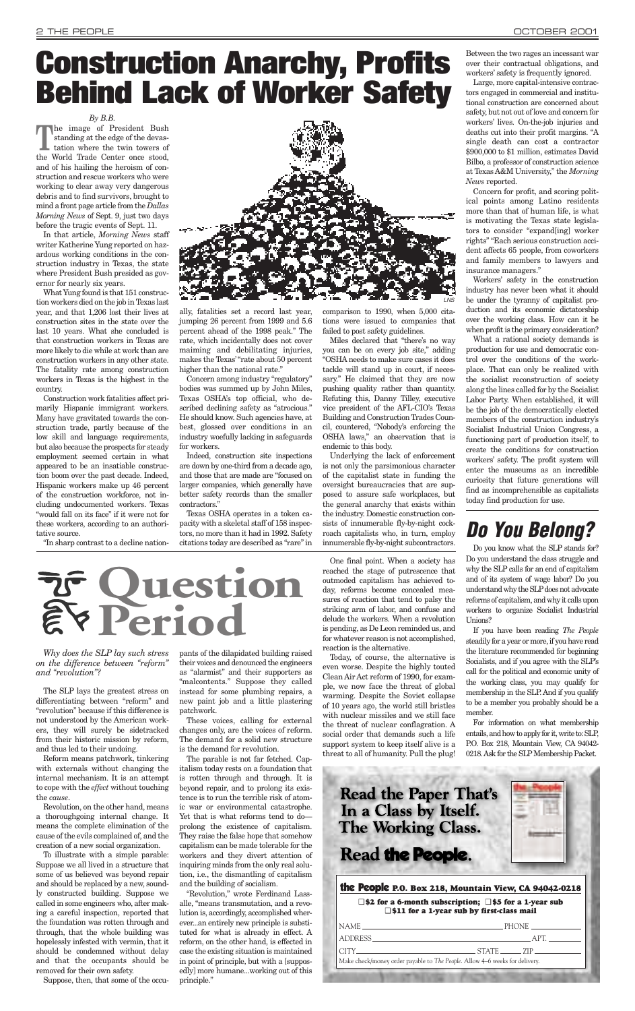*Why does the SLP lay such stress on the difference between "reform" and "revolution"?*

The SLP lays the greatest stress on differentiating between "reform" and "revolution" because if this difference is not understood by the American workers, they will surely be sidetracked from their historic mission by reform, and thus led to their undoing.

Reform means patchwork, tinkering with externals without changing the internal mechanism. It is an attempt to cope with the *effect* without touching the *cause*.

Revolution, on the other hand, means a thoroughgoing internal change. It means the complete elimination of the cause of the evils complained of, and the creation of a new social organization.

To illustrate with a simple parable: Suppose we all lived in a structure that some of us believed was beyond repair and should be replaced by a new, soundly constructed building. Suppose we called in some engineers who, after making a careful inspection, reported that the foundation was rotten through and through, that the whole building was hopelessly infested with vermin, that it should be condemned without delay and that the occupants should be removed for their own safety.

Suppose, then, that some of the occu-

pants of the dilapidated building raised their voices and denounced the engineers as "alarmist" and their supporters as "malcontents." Suppose they called instead for some plumbing repairs, a new paint job and a little plastering patchwork.

These voices, calling for external changes only, are the voices of reform. The demand for a solid new structure is the demand for revolution.

The parable is not far fetched. Capitalism today rests on a foundation that is rotten through and through. It is beyond repair, and to prolong its existence is to run the terrible risk of atomic war or environmental catastrophe. Yet that is what reforms tend to do prolong the existence of capitalism. They raise the false hope that somehow capitalism can be made tolerable for the workers and they divert attention of inquiring minds from the only real solution, i.e., the dismantling of capitalism and the building of socialism.

The image of President Bush standing at the edge of the devastation where the twin towers of the World Trade Center once stood, and of his hailing the heroism of construction and rescue workers who were working to clear away very dangerous debris and to find survivors, brought to mind a front page article from the *Dallas Morning News* of Sept. 9, just two days before the tragic events of Sept. 11.

> "Revolution," wrote Ferdinand Lassalle, "means transmutation, and a revolution is, accordingly, accomplished wherever...an entirely new principle is substituted for what is already in effect. A reform, on the other hand, is effected in case the existing situation is maintained in point of principle, but with a [supposedly] more humane...working out of this principle."

One final point. When a society has reached the stage of putrescence that outmoded capitalism has achieved today, reforms become concealed measures of reaction that tend to palsy the striking arm of labor, and confuse and delude the workers. When a revolution is pending, as De Leon reminded us, and for whatever reason is not accomplished, reaction is the alternative.

Today, of course, the alternative is even worse. Despite the highly touted Clean Air Act reform of 1990, for example, we now face the threat of global warming. Despite the Soviet collapse of 10 years ago, the world still bristles with nuclear missiles and we still face the threat of nuclear conflagration. A social order that demands such a life support system to keep itself alive is a threat to all of humanity. Pull the plug!

#### *By B.B.*

In that article, *Morning News* staff writer Katherine Yung reported on hazardous working conditions in the construction industry in Texas, the state where President Bush presided as governor for nearly six years.

What Yung found is that 151 construction workers died on the job in Texas last year, and that 1,206 lost their lives at construction sites in the state over the last 10 years. What she concluded is that construction workers in Texas are more likely to die while at work than are construction workers in any other state. The fatality rate among construction workers in Texas is the highest in the country.

Construction work fatalities affect primarily Hispanic immigrant workers. Many have gravitated towards the construction trade, partly because of the low skill and language requirements, but also because the prospects for steady employment seemed certain in what appeared to be an insatiable construction boom over the past decade. Indeed, Hispanic workers make up 46 percent of the construction workforce, not including undocumented workers. Texas "would fall on its face" if it were not for these workers, according to an authoritative source.

"In sharp contrast to a decline nation-

ally, fatalities set a record last year, jumping 26 percent from 1999 and 5.6 percent ahead of the 1998 peak." The rate, which incidentally does not cover maiming and debilitating injuries, makes the Texas' "rate about 50 percent higher than the national rate."

Concern among industry "regulatory" bodies was summed up by John Miles, Texas OSHA's top official, who described declining safety as "atrocious." He should know. Such agencies have, at best, glossed over conditions in an industry woefully lacking in safeguards for workers.

Indeed, construction site inspections are down by one-third from a decade ago, and those that are made are "focused on larger companies, which generally have better safety records than the smaller contractors."

Texas OSHA operates in a token capacity with a skeletal staff of 158 inspectors, no more than it had in 1992. Safety citations today are described as "rare" in comparison to 1990, when 5,000 citations were issued to companies that failed to post safety guidelines.

Miles declared that "there's no way you can be on every job site," adding "OSHA needs to make sure cases it does tackle will stand up in court, if necessary." He claimed that they are now pushing quality rather than quantity. Refuting this, Danny Tilley, executive vice president of the AFL-CIO's Texas Building and Construction Trades Council, countered, "Nobody's enforcing the OSHA laws," an observation that is endemic to this body.

Underlying the lack of enforcement is not only the parsimonious character of the capitalist state in funding the oversight bureaucracies that are supposed to assure safe workplaces, but the general anarchy that exists within the industry. Domestic construction consists of innumerable fly-by-night cockroach capitalists who, in turn, employ innumerable fly-by-night subcontractors.

# <span id="page-1-0"></span>**Construction Anarchy, Profits Behind Lack of Worker Safety**

Between the two rages an incessant war over their contractual obligations, and workers' safety is frequently ignored.

Large, more capital-intensive contractors engaged in commercial and institutional construction are concerned about safety, but not out of love and concern for workers' lives. On-the-job injuries and deaths cut into their profit margins. "A single death can cost a contractor \$900,000 to \$1 million, estimates David Bilbo, a professor of construction science at Texas A&M University," the *Morning News* reported.

Concern for profit, and scoring political points among Latino residents more than that of human life, is what is motivating the Texas state legislators to consider "expand[ing] worker rights" "Each serious construction accident affects 65 people, from coworkers and family members to lawyers and insurance managers."

Workers' safety in the construction industry has never been what it should be under the tyranny of capitalist production and its economic dictatorship over the working class. How can it be when profit is the primary consideration?

What a rational society demands is production for use and democratic control over the conditions of the workplace. That can only be realized with the socialist reconstruction of society along the lines called for by the Socialist Labor Party. When established, it will be the job of the democratically elected members of the construction industry's Socialist Industrial Union Congress, a functioning part of production itself, to create the conditions for construction workers' safety. The profit system will enter the museums as an incredible curiosity that future generations will find as incomprehensible as capitalists today find production for use.

## **Do You Belong?**

Do you know what the SLP stands for? Do you understand the class struggle and why the SLP calls for an end of capitalism and of its system of wage labor? Do you understand why the SLP does not advocate reforms of capitalism, and why it calls upon workers to organize Socialist Industrial Unions?

If you have been reading *The People* steadily for a year or more, if you have read the literature recommended for beginning Socialists, and if you agree with the SLP's call for the political and economic unity of the working class, you may qualify for membership in the SLP. And if you qualify to be a member you probably should be a member.

For information on what membership entails, and how to apply for it, write to: SLP, P.O. Box 218, Mountain View, CA 94042- 0218. Ask for the SLP Membership Packet.

### **Read the Paper That's** In a Class by Itself. **The Working Class.**

### Read the People.

#### the People **P.O. Box 218, Mountain View, CA 94042-0218**

❑ **\$2 for a 6-month subscription;** ❑ **\$5 for a 1-year sub** ❑ **\$11 for a 1-year sub by first-class mail**

| NAME -                                                                      | $PH(ONE \_$          |  |
|-----------------------------------------------------------------------------|----------------------|--|
|                                                                             | A PT                 |  |
|                                                                             | $CITY$ $STATE$ $ZIP$ |  |
| Make check/money order payable to The People. Allow 4-6 weeks for delivery. |                      |  |
|                                                                             |                      |  |



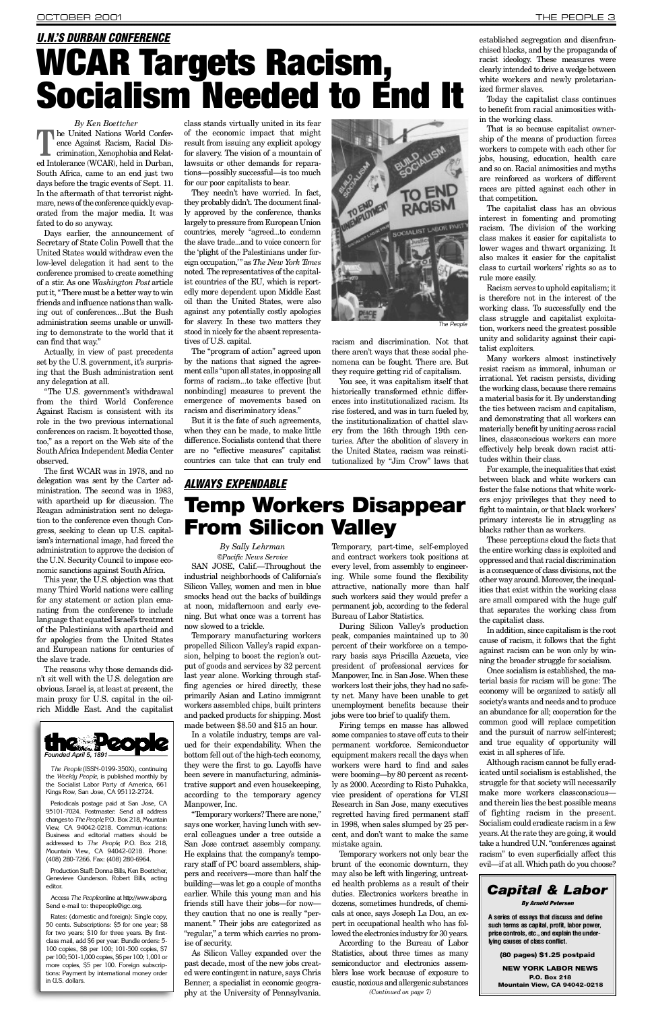Days earlier, the announcement of Secretary of State Colin Powell that the United States would withdraw even the low-level delegation it had sent to the conference promised to create something of a stir. As one *Washington Post* article put it, "There must be a better way to win friends and influence nations than walking out of conferences....But the Bush administration seems unable or unwilling to demonstrate to the world that it can find that way."

*By Ken Boettcher* **T** he United Nations World Conference Against Racism, Racial Discrimination, Xenophobia and Related Intolerance (WCAR), held in Durban, South Africa, came to an end just two days before the tragic events of Sept. 11. In the aftermath of that terrorist nightmare, news of the conference quickly evaporated from the major media. It was fated to do so anyway.

Actually, in view of past precedents set by the U.S. government, it's surprising that the Bush administration sent any delegation at all.

"The U.S. government's withdrawal from the third World Conference Against Racism is consistent with its role in the two previous international conferences on racism. It boycotted those, too," as a report on the Web site of the South Africa Independent Media Center observed.

The first WCAR was in 1978, and no delegation was sent by the Carter administration. The second was in 1983, with apartheid up for discussion. The Reagan administration sent no delegation to the conference even though Congress, seeking to clean up U.S. capitalism's international image, had forced the administration to approve the decision of the U.N. Security Council to impose economic sanctions against South Africa.

This year, the U.S. objection was that many Third World nations were calling for any statement or action plan emanating from the conference to include language that equated Israel's treatment of the Palestinians with apartheid and for apologies from the United States and European nations for centuries of the slave trade.

The reasons why those demands didn't sit well with the U.S. delegation are obvious. Israel is, at least at present, the main proxy for U.S. capital in the oilrich Middle East. And the capitalist

class stands virtually united in its fear of the economic impact that might result from issuing any explicit apology for slavery. The vision of a mountain of lawsuits or other demands for reparations—possibly successful—is too much for our poor capitalists to bear.

They needn't have worried. In fact, they probably didn't. The document finally approved by the conference, thanks largely to pressure from European Union countries, merely "agreed...to condemn the slave trade...and to voice concern for the 'plight of the Palestinians under foreign occupation," as *The New York Times* noted. The representatives of the capitalist countries of the EU, which is reportedly more dependent upon Middle East oil than the United States, were also against any potentially costly apologies for slavery. In these two matters they stood in nicely for the absent representatives of U.S. capital.

The "program of action" agreed upon by the nations that signed the agreement calls "upon all states, in opposing all forms of racism...to take effective [but nonbinding] measures to prevent the emergence of movements based on racism and discriminatory ideas."

But it is the fate of such agreements, when they can be made, to make little difference. Socialists contend that there are no "effective measures" capitalist countries can take that can truly end nomena can be fought. There are. But they require getting rid of capitalism. You see, it was capitalism itself that historically transformed ethnic differences into institutionalized racism. Its rise fostered, and was in turn fueled by, the institutionalization of chattel slavery from the 16th through 19th centuries. After the abolition of slavery in the United States, racism was reinstitutionalized by "Jim Crow" laws that

In a volatile industry, temps are valued for their expendability. When the bottom fell out of the high-tech economy, they were the first to go. Layoffs have been severe in manufacturing, administrative support and even housekeeping, according to the temporary agency Manpower, Inc. "Temporary workers? There are none, " says one worker, having lunch with several colleagues under a tree outside a San Jose contract assembly company. He explains that the company's temporary staff of PC board assemblers, shippers and receivers—more than half the building—was let go a couple of months earlier. While this young man and his friends still have their jobs—for now they caution that no one is really "permanent." Their jobs are categorized as "r egular," a term which carries no promise of security.

established segregation and disenfranchised blacks, and by the propaganda of racist ideology. These measures were clearly intended to drive a wedge between white workers and newly proletarianized former slaves.

Today the capitalist class continues to benefit from racial animosities within the working class.

That is so because capitalist ownership of the means of production forces workers to compete with each other for jobs, housing, education, health care and so on. Racial animosities and myths are reinforced as workers of different races are pitted against each other in that competition.

Temporary, part-time, self-employed and contract workers took positions at every level, from assembly to engineering. While some found the flexibility attractive, nationally more than half such workers said they would prefer a permanent job, according to the federal Bureau of Labor Statistics.

During Silicon Valley's production peak, companies maintained up to 30 percent of their workforce on a temporary basis says Priscilla Azcueta, vice president of professional services for Manpower, Inc. in San Jose. When these workers lost their jobs, they had no safety net. Many have been unable to get unemployment benefits because their jobs were too brief to qualify them.

The capitalist class has an obvious interest in fomenting and promoting racism. The division of the working class makes it easier for capitalists to lower wages and thwart organizing. It also makes it easier for the capitalist class to curtail workers' rights so as to rule more easily.

Racism serves to uphold capitalism; it is therefore not in the interest of the working class. To successfully end the class struggle and capitalist exploitation, workers need the greatest possible unity and solidarity against their capitalist exploiters.

Many workers almost instinctively resist racism as immoral, inhuman or irrational. Yet racism persists, dividing the working class, because there remains a material basis for it. By understanding the ties between racism and capitalism, and demonstrating that all workers can materially benefit by uniting across racial lines, classconscious workers can more effectively help break down racist attitudes within their class.

For example, the inequalities that exist between black and white workers can foster the false notions that white workers enjoy privileges that they need to fight to maintain, or that black workers' primary interests lie in struggling as blacks rather than as workers.

### *ALWAYS EXPENDABLE* Temp Workers Disappear **From Silicon Valley**

These perceptions cloud the facts that the entire working class is exploited and oppressed and that racial discrimination is a consequence of class divisions, not the other way around. Moreover, the inequalities that exist within the working class are small compared with the huge gulf that separates the working class from the capitalist class.

In addition, since capitalism is the root cause of racism, it follows that the fight against racism can be won only by winning the broader struggle for socialism.

Once socialism is established, the material basis for racism will be gone: The economy will be organized to satisfy all society's wants and needs and to produce an abundance for all; cooperation for the common good will replace competition and the pursuit of narrow self-interest; and true equality of opportunity will exist in all spheres of life. Although racism cannot be fully eradicated until socialism is established, the struggle for that society will necessarily make more workers classconscious and therein lies the best possible means of fighting racism in the present. Socialism could eradicate racism in a few years. At the rate they are going, it would take a hundred U.N. "conferences against racism" to even superficially affect this evil—if at all. Which path do you choose?



*By Sally Lehrman ©Pacific News Service*

SAN JOSE, Calif.—Throughout the industrial neighborhoods of California's Silicon Valley, women and men in blue smocks head out the backs of buildings at noon, midafternoon and early evening. But what once was a torrent has now slowed to a trickle.

Temporary manufacturing workers propelled Silicon Valley's rapid expansion, helping to boost the region's output of goods and services by 32 percent last year alone. Working through staffing agencies or hired directly, these primarily Asian and Latino immigrant workers assembled chips, built printers and packed products for shipping. Most made between \$8.50 and \$15 an hour.

As Silicon Valley expanded over the past decade, most of the new jobs created were contingent in nature, says Chris Benner, a specialist in economic geography at the University of Pennsylvania.

Firing temps en masse has allowed some companies to stave off cuts to their permanent workforce. Semiconductor equipment makers recall the days when workers were hard to find and sales were booming—by 80 percent as recently as 2000. According to Risto Puhakka, vice president of operations for VLSI Research in San Jose, many executives regretted having fired permanent staff in 1998, when sales slumped by 25 percent, and don't want to make the same mistake again. Temporary workers not only bear the brunt of the economic downturn, they may also be left with lingering, untreated health problems as a result of their duties. Electronics workers breathe in dozens, sometimes hundreds, of chemicals at once, says Joseph La Dou, an expert in occupational health who has followed the electronics industry for 30 years. According to the Bureau of Labor Statistics, about three times as many semiconductor and electronics assemblers lose work because of exposure to caustic, noxious and allergenic substances

# <span id="page-2-0"></span>*U.N.'S DURBAN CONFERENCE* WCAR Targets Racism, Socialism Needed to End It



*The People* (ISSN-0199-350X), continuing the *Weekly People*, is published monthly by the Socialist Labor Party of America, 661 Kings Row, San Jose, CA 95112-2724.

Periodicals postage paid at San Jose, CA 95101-7024. Postmaster: Send all address changes to *The People*, P.O. Box 218, Mountain View, CA 94042-0218. Commun-ications: Business and editorial matters should be addressed to *The People*, P.O. Box 218, Mountain View, CA 94042-0218. Phone: (408) 280-7266. Fax: (408) 280-6964.

Production Staff: Donna Bills, Ken Boettcher, Genevieve Gunderson. Robert Bills, acting editor.

Access The People online at http://www.slp.org. Send e-mail to: thepeople@igc.org

Rates: (domestic and foreign): Single copy, 50 cents. Subscriptions: \$5 for one year; \$8 for two years; \$10 for three years. By firstclass mail, add \$6 per year. Bundle orders: 5- 100 copies, \$8 per 100; 101-500 copies, \$7 per 100; 501-1,000 copies, \$6 per 100; 1,001 or more copies, \$5 per 100. Foreign subscriptions: Payment by international money order in U.S. dollars.

*(Continued on page 7)*

#### *Capital & Labor By Arnold Petersen*

**A series of essays that discuss and define such terms as capital, profit, labor power, price controls, etc., and explain the underlying causes of class conflict.**

(80 pages) \$1.25 postpaid

NEW YORK LABOR NEWS P.O. Box 218 Mountain View, CA 94042-0218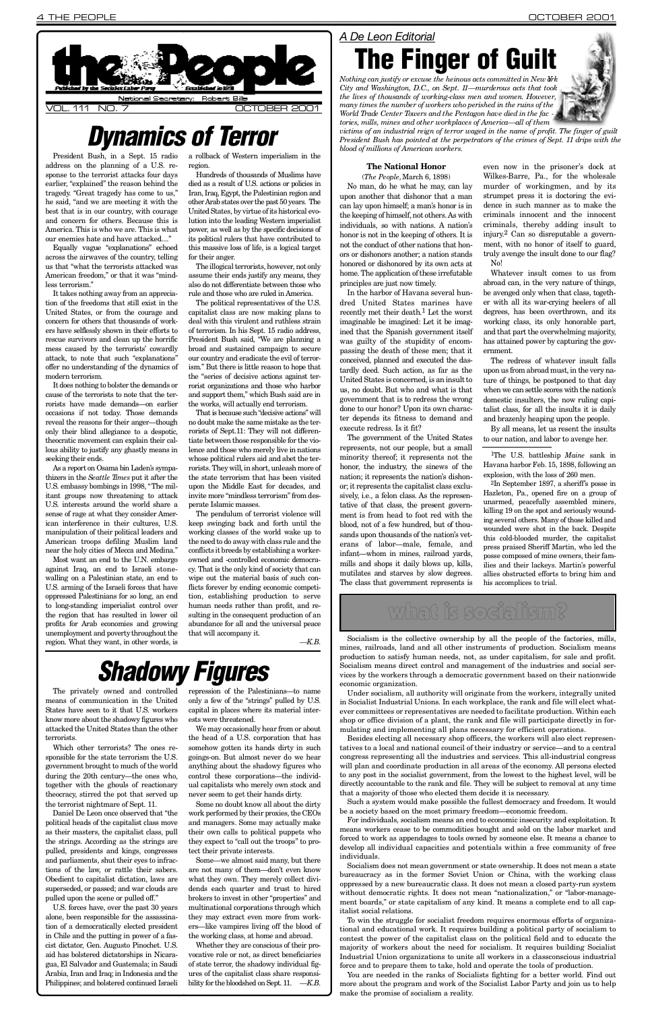President Bush, in a Sept. 15 radio address on the planning of a U.S. response to the terrorist attacks four days earlier, "explained" the reason behind the tragedy. "Great tragedy has come to us," he said, "and we are meeting it with the best that is in our country, with courage and concern for others. Because this is America. This is who we are. This is what our enemies hate and have attacked...."

Equally vague "explanations" echoed across the airwaves of the country, telling us that "what the terrorists attacked was American freedom," or that it was "mindless terrorism."

It takes nothing away from an appreciation of the freedoms that still exist in the United States, or from the courage and concern for others that thousands of workers have selflessly shown in their efforts to rescue survivors and clean up the horrific mess caused by the terrorists' cowardly attack, to note that such "explanations" offer no understanding of the dynamics of modern terrorism.

Most want an end to the U.N. embargo against Iraq, an end to Israeli stonewalling on a Palestinian state, an end to U.S. arming of the Israeli forces that have oppressed Palestinians for so long, an end to long-standing imperialist control over the region that has resulted in lower oil profits for Arab economies and growing unemployment and poverty throughout the region. What they want, in other words, is

It does nothing to bolster the demands or cause of the terrorists to note that the terrorists have made demands—on earlier occasions if not today. Those demands reveal the reasons for their anger—though only their blind allegiance to a despotic, theocratic movement can explain their callous ability to justify any ghastly means in seeking their ends.

Hundreds of thousands of Muslims have died as a result of U.S. actions or policies in Iran, Iraq, Egypt, the Palestinian region and other Arab states over the past 50 years. The United States, by virtue of its historical evolution into the leading Western imperialist power, as well as by the specific decisions of its political rulers that have contributed to this massive loss of life, is a logical target for their anger.

The illogical terrorists, however, not only assume their ends justify any means, they also do not differentiate between those who rule and those who are ruled in America.

As a report on Osama bin Laden's sympathizers in the *Seattle Times* put it after the U.S. embassy bombings in 1998, "The militant groups now threatening to attack U.S. interests around the world share a sense of rage at what they consider American interference in their cultures, U.S. manipulation of their political leaders and American troops defiling Muslim land near the holy cities of Mecca and Medina."

a rollback of Western imperialism in the region.

even now in the prisoner's dock at Wilkes-Barre, Pa., for the wholesale murder of workingmen, and by its strumpet press it is doctoring the evidence in such manner as to make the criminals innocent and the innocent criminals, thereby adding insult to injury.<sup>2</sup> Can so disreputable a government, with no honor of itself to guard, truly avenge the insult done to our flag? No!

The political representatives of the U.S. capitalist class are now making plans to deal with this virulent and ruthless strain of terrorism. In his Sept. 15 radio address, President Bush said, "We are planning a broad and sustained campaign to secure our country and eradicate the evil of terrorism." But there is little reason to hope that the "series of decisive actions against terrorist organizations and those who harbor and support them," which Bush said are in the works, will actually end terrorism.

Whatever insult comes to us from abroad can, in the very nature of things, be avenged only when that class, together with all its war-crying heelers of all degrees, has been overthrown, and its working class, its only honorable part, and that part the overwhelming majority, has attained power by capturing the government.

That is because such "decisive actions" will no doubt make the same mistake as the terrorists of Sept.11: They will not differentiate between those responsible for the violence and those who merely live in nations whose political rulers aid and abet the terrorists. They will, in short, unleash more of the state terrorism that has been visited upon the Middle East for decades, and invite more "mindless terrorism" from desperate Islamic masses.

<sup>1</sup>The U.S. battleship *Maine* sank in Havana harbor Feb. 15, 1898, following an explosion, with the loss of 260 men.

The pendulum of terrorist violence will keep swinging back and forth until the working classes of the world wake up to the need to do away with class rule and the conflicts it breeds by establishing a workerowned and -controlled economic democracy. That is the only kind of society that can wipe out the material basis of such conflicts forever by ending economic competition, establishing production to serve human needs rather than profit, and resulting in the consequent production of an abundance for all and the universal peace that will accompany it.

*— K . B .*

# *Shadowy Figures*

#### **The National Honor**

(*The People,*March 6, 1898)

No man, do he what he may, can lay upon another that dishonor that a man can lay upon himself; a man's honor is in the keeping of himself, not others. As with individuals, so with nations. A nation's honor is not in the keeping of others. It is not the conduct of other nations that honors or dishonors another; a nation stands honored or dishonored by its own acts at home. The application of these irrefutable principles are just now timely.

Whether they are conscious of their provocative role or not, as direct beneficiaries of state terror, the shadowy individual figures of the capitalist class share responsibility for the bloodshed on Sept. 11. *—K.B.* 

In the harbor of Havana several hundred United States marines have recently met their death.<sup>1</sup> Let the worst imaginable be imagined: Let it be imagined that the Spanish government itself was guilty of the stupidity of encompassing the death of these men; that it conceived, planned and executed the dastardly deed. Such action, as far as the United States is concerned, is an insult to us, no doubt. But who and what is that government that is to redress the wrong done to our honor? Upon its own character depends its fitness to demand and execute redress. Is it fit?

*Nothing can justify or excuse the heinous acts committed in New York City and Washington, D.C., on Sept. 11*—murderous acts that took *the lives of thousands of working-class men and women. However, many times the number of workers who perished in the ruins of the World Trade Center Towers and the Pentagon have died in the fac tories, mills, mines and other workplaces of America—all of them*



The government of the United States represents, not our people, but a small minority thereof; it represents not the honor, the industry, the sinews of the nation; it represents the nation's dishonor; it represents the capitalist class exclusively, i.e., a felon class. As the representative of that class, the present government is from head to foot red with the blood, not of a few hundred, but of thousands upon thousands of the nation's veterans of labor—male, female, and infant—whom in mines, railroad yards, mills and shops it daily blows up, kills, mutilates and starves by slow degrees. The class that government represents is

For individuals, socialism means an end to economic insecurity and exploitation. It means workers cease to be commodities bought and sold on the labor market and forced to work as appendages to tools owned by someone else. It means a chance to develop all individual capacities and potentials within a free community of free individuals.

The redress of whatever insult falls upon us from abroad must, in the very nature of things, be postponed to that day when we can settle scores with the nation's domestic insulters, the now ruling capitalist class, for all the insults it is daily and brazenly heaping upon the people.

By all means, let us resent the insults to our nation, and labor to avenge her.

2In September 1897, a sheriff's posse in Hazleton, Pa., opened fire on a group of unarmed, peacefully assembled miners, killing 19 on the spot and seriously wounding several others. Many of those killed and wounded were shot in the back. Despite this cold-blooded murder, the capitalist press praised Sheriff Martin, who led the posse composed of mine owners, their families and their lackeys. Martin's powerful allies obstructed efforts to bring him and his accomplices to trial.



## *Dynamics of Terror*

The privately owned and controlled means of communication in the United States have seen to it that U.S. workers know more about the shadowy figures who attacked the United States than the other terrorists.

Which other terrorists? The ones responsible for the state terrorism the U.S. government brought to much of the world during the 20th century—the ones who, together with the ghouls of reactionary theocracy, stirred the pot that served up the terrorist nightmare of Sept. 11 .

Daniel De Leon once observed that "the political heads of the capitalist class move as their masters, the capitalist class, pull the strings. According as the strings are pulled, presidents and kings, congresses and parliaments, shut their eyes to infractions of the law, or rattle their sabers. Obedient to capitalist dictation, laws are superseded, or passed; and war clouds are pulled upon the scene or pulled off."

U.S. forces have, over the past 30 years alone, been responsible for the assassination of a democratically elected president in Chile and the putting in power of a fascist dictator, Gen. Augusto Pinochet. U.S. aid has bolstered dictatorships in Nicaragua, El Salvador and Guatemala; in Saudi Arabia, Iran and Iraq; in Indonesia and the Philippines; and bolstered continued Israeli repression of the Palestinians—to name only a few of the "strings" pulled by U.S. capital in places where its material interests were threatened.

We may occasionally hear from or about the head of a U.S. corporation that has

somehow gotten its hands dirty in such goings-on. But almost never do we hear anything about the shadowy figures who control these corporations—the individual capitalists who merely own stock and never seem to get their hands dirty.

Some no doubt know all about the dirty work performed by their proxies, the CEOs and managers. Some may actually make their own calls to political puppets who they expect to "call out the troops" to protect their private interests.

Some—we almost said many, but there are not many of them—don't even know what they own. They merely collect dividends each quarter and trust to hired brokers to invest in other "properties" and multinational corporations through which they may extract even more from workers—like vampires living off the blood of the working class, at home and abroad.

### *A De Leon Editorial* The Finger of Guilt

*victims of an industrial reign of terror waged in the name of profit. The finger of guilt President Bush has pointed at the perpetrators of the crimes of Sept. 11 drips with the blood of millions of American workers.*

## what is socialism?

Socialism is the collective ownership by all the people of the factories, mills, mines, railroads, land and all other instruments of production. Socialism means production to satisfy human needs, not, as under capitalism, for sale and profit. Socialism means direct control and management of the industries and social services by the workers through a democratic government based on their nationwide economic organization.

Under socialism, all authority will originate from the workers, integrally united in Socialist Industrial Unions. In each workplace, the rank and file will elect whatever committees or representatives are needed to facilitate production. Within each shop or office division of a plant, the rank and file will participate directly in formulating and implementing all plans necessary for efficient operations.

Besides electing all necessary shop officers, the workers will also elect represen-

tatives to a local and national council of their industry or service—and to a central congress representing all the industries and services. This all-industrial congress will plan and coordinate production in all areas of the economy. All persons elected to any post in the socialist government, from the lowest to the highest level, will be directly accountable to the rank and file. They will be subject to removal at any time that a majority of those who elected them decide it is necessary.

Such a system would make possible the fullest democracy and freedom. It would be a society based on the most primary freedom—economic freedom.

Socialism does not mean government or state ownership. It does not mean a state bureaucracy as in the former Soviet Union or China, with the working class oppressed by a new bureaucratic class. It does not mean a closed party-run system without democratic rights. It does not mean "nationalization," or "labor-management boards," or state capitalism of any kind. It means a complete end to all capitalist social relations.

To win the struggle for socialist freedom requires enormous efforts of organizational and educational work. It requires building a political party of socialism to contest the power of the capitalist class on the political field and to educate the majority of workers about the need for socialism. It requires building Socialist Industrial Union organizations to unite all workers in a classconscious industrial force and to prepare them to take, hold and operate the tools of production.

You are needed in the ranks of Socialists fighting for a better world. Find out more about the program and work of the Socialist Labor Party and join us to help make the promise of socialism a reality.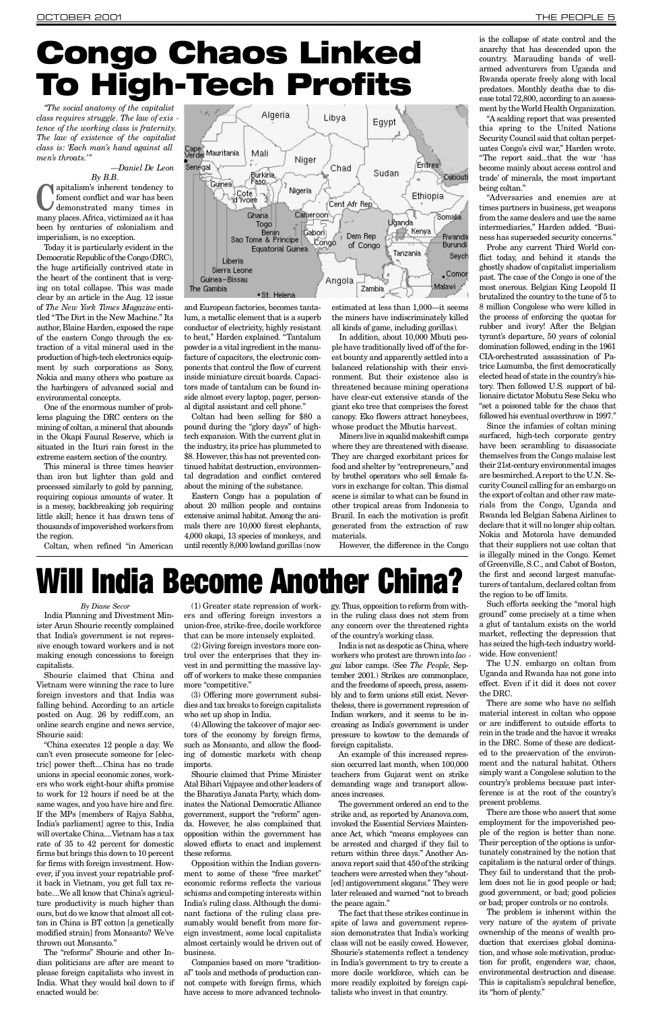*"The social anatomy of the capitalist class requires struggle. The law of exis tence of the working class is fraternity. The law of existence of the capitalist class is: 'Each man's hand against all* men's throats."

#### *—Daniel De Leon*

*By B.B.* **C** many places. Africa, victimized as it has apitalism's inherent tendency to foment conflict and war has been demonstrated many times in been by centuries of colonialism and imperialism, is no exception.

Today it is particularly evident in the Democratic Republic of the Congo (DRC), the huge artificially contrived state in the heart of the continent that is verging on total collapse. This was made clear by an article in the Aug. 12 issue of *The New York Times Magazine* entitled "The Dirt in the New Machine." Its author, Blaine Harden, exposed the rape of the eastern Congo through the extraction of a vital mineral used in the production of high-tech electronics equipment by such corporations as Sony, Nokia and many others who posture as the harbingers of advanced social and environmental concepts.

> Eastern Congo has a population of about 20 million people and contains extensive animal habitat. Among the animals there are 10,000 forest elephants, 4,000 okapi, 13 species of monkeys, and until recently 8,000 lowland gorillas (now

One of the enormous number of problems plaguing the DRC centers on the mining of coltan, a mineral that abounds in the Okapi Faunal Reserve, which is situated in the Ituri rain forest in the extreme eastern section of the country.

This mineral is three times heavier than iron but lighter than gold and processed similarly to gold by panning, requiring copious amounts of water. It is a messy, backbreaking job requiring little skill; hence it has drawn tens of thousands of impoverished workers from the region.

Coltan, when refined "in American



Miners live in squalid makeshift camps where they are threatened with disease. They are charged exorbitant prices for food and shelter by "entrepreneurs," and by brothel operators who sell female favors in exchange for coltan. This dismal scene is similar to what can be found in other tropical areas from Indonesia to Brazil. In each the motivation is profit generated from the extraction of raw materials.

However, the difference in the Congo

and European factories, becomes tantalum, a metallic element that is a superb conductor of electricity, highly resistant to heat." Harden explained. "Tantalum powder is a vital ingredient in the manufacture of capacitors, the electronic components that control the flow of current inside miniature circuit boards. Capacitors made of tantalum can be found inside almost every laptop, pager, personal digital assistant and cell phone."

Coltan had been selling for \$80 a pound during the "glory days" of hightech expansion. With the current glut in the industry, its price has plummeted to \$8. However, this has not prevented continued habitat destruction, environmental degradation and conflict centered about the mining of the substance.

estimated at less than 1,000—it seems the miners have indiscriminately killed all kinds of game, including gorillas).

In addition, about 10,000 Mbuti people have traditionally lived off of the forest bounty and apparently settled into a balanced relationship with their environment. But their existence also is threatened because mining operations have clear-cut extensive stands of the giant eko tree that comprises the forest canopy. Eko flowers attract honeybees, whose product the Mbutis harvest.

is the collapse of state control and the anarchy that has descended upon the country. Marauding bands of wellarmed adventurers from Uganda and Rwanda operate freely along with local predators. Monthly deaths due to disease total 72,800, according to an assessment by the World Health Organization.

" A scalding report that was presented this spring to the United Nations Security Council said that coltan perpetuates Congo's civil war," Harden wrote. "The report said...that the war 'has become mainly about access control and trade' of minerals, the most important being coltan."

"Adversaries and enemies are at times partners in business, get weapons from the same dealers and use the same intermediaries," Harden added. "Business has superseded security concerns."

(4) Allowing the takeover of major sectors of the economy by foreign firms, such as Monsanto, and allow the flooding of domestic markets with cheap imports.

Probe any current Third World conflict today, and behind it stands the ghostly shadow of capitalist imperialism past. The case of the Congo is one of the most onerous. Belgian King Leopold II brutalized the country to the tune of 5 to 8 million Congolese who were killed in the process of enforcing the quotas for rubber and ivory! After the Belgian tyrant's departure, 50 years of colonial domination followed, ending in the 1961 CIA-orchestrated assassination of Patrice Lumumba, the first democratically elected head of state in the country's history. Then followed U.S. support of billionaire dictator Mobutu Sese Seku who "set a poisoned table for the chaos that followed his eventual overthrow in 1997."

gy. Thus, opposition to reform from within the ruling class does not stem from any concern over the threatened rights of the country's working class.

Since the infamies of coltan mining surfaced, high-tech corporate gentry have been scrambling to disassociate themselves from the Congo malaise lest their 21st-century environmental images are besmirched. Areport to the U.N. Security Council calling for an embargo on the export of coltan and other raw materials from the Congo, Uganda and Rwanda led Belgian Sabena Airlines to declare that it will no longer ship coltan. Nokia and Motorola have demanded that their suppliers not use coltan that is illegally mined in the Congo. Kemet of Greenville, S.C., and Cabot of Boston, the first and second largest manufacturers of tantalum, declared coltan from the region to be off limits.

Such efforts seeking the "moral high ground" come precisely at a time when a glut of tantalum exists on the world market, reflecting the depression that has seized the high-tech industry worldwide. How convenient!

The U.N. embargo on coltan from Uganda and Rwanda has not gone into effect. Even if it did it does not cover the DRC.

There are some who have no selfish material interest in coltan who oppose or are indifferent to outside efforts to rein in the trade and the havoc it wreaks in the DRC. Some of these are dedicated to the preservation of the environment and the natural habitat. Others simply want a Congolese solution to the country's problems because past interference is at the root of the country's present problems. There are those who assert that some employment for the impoverished people of the region is better than none. Their perception of the options is unfortunately constrained by the notion that capitalism is the natural order of things. They fail to understand that the problem does not lie in good people or bad; good government, or bad; good policies or bad; proper controls or no controls. The problem is inherent within the very nature of the system of private ownership of the means of wealth production that exercises global domination, and whose sole motivation, production for profit, engenders war, chaos, environmental destruction and disease. This is capitalism's sepulchral benefice, its "horn of plenty. "

# <span id="page-4-0"></span>Congo Chaos Linked To High-Tech Profits

#### *By Diane Secor*

India Planning and Divestment Minister Arun Shourie recently complained that India's government is not repressive enough toward workers and is not making enough concessions to foreign capitalists.

Shourie claimed that China and Vietnam were winning the race to lure foreign investors and that India was falling behind. According to an article posted on Aug. 26 by rediff.com, an online search engine and news service, Shourie said:

"China executes 12 people a day. We can't even prosecute someone for [electric] power theft....China has no trade unions in special economic zones, workers who work eight-hour shifts promise to work for 12 hours if need be at the same wages, and you have hire and fire. If the MPs [members of Rajya Sabha, India's parliament] agree to this, India will overtake China....Vietnam has a tax rate of 35 to 42 percent for domestic firms but brings this down to 10 percent for firms with foreign investment. However, if you invest your repatriable profit back in Vietnam, you get full tax rebate....We all know that China's agriculture productivity is much higher than ours, but do we know that almost all cotton in China is BT cotton [a genetically modified strain] from Monsanto? We've thrown out Monsanto." The "reforms" Shourie and other Indian politicians are after are meant to please foreign capitalists who invest in India. What they would boil down to if enacted would be:

(1) Greater state repression of workers and offering foreign investors a union-free, strike-free, docile workforce that can be more intensely exploited.

(2) Giving foreign investors more control over the enterprises that they invest in and permitting the massive layoff of workers to make these companies more "competitive."

(3) Offering more government subsidies and tax breaks to foreign capitalists who set up shop in India.

Shourie claimed that Prime Minister Atal Bihari Vajpayee and other leaders of the Bharatiya Janata Party, which dominates the National Democratic Alliance government, support the "reform" agenda. However, he also complained that opposition within the government has slowed efforts to enact and implement these reforms.

Opposition within the Indian government to some of these "free market" economic reforms reflects the various schisms and competing interests within India's ruling class. Although the dominant factions of the ruling class presumably would benefit from more foreign investment, some local capitalists almost certainly would be driven out of business.

Companies based on more "traditional" tools and methods of production cannot compete with foreign firms, which have access to more advanced technolo-

India is not as despotic as China, where workers who protest are thrown into lao *gai* labor camps. (See *The People*, September 2001.) Strikes are commonplace, and the freedoms of speech, press, assembly and to form unions still exist. Nevertheless, there is government repression of Indian workers, and it seems to be increasing as India's government is under pressure to kowtow to the demands of foreign capitalists.

An example of this increased repression occurred last month, when 100,000 teachers from Gujarat went on strike demanding wage and transport allowances increases.

The government ordered an end to the strike and, as reported by Ananova.com, invoked the Essential Services Maintenance Act, which "means employees can be arrested and charged if they fail to return within three days." Another Ananova report said that 450 of the striking teachers were arrested when they "shout- [ed] antigovernment slogans." They were later released and warned "not to breach the peace again."

The fact that these strikes continue in spite of laws and government repression demonstrates that India's working class will not be easily cowed. However, Shourie's statements reflect a tendency in India's government to try to create a more docile workforce, which can be more readily exploited by foreign capitalists who invest in that country.

# Will India Become Another China?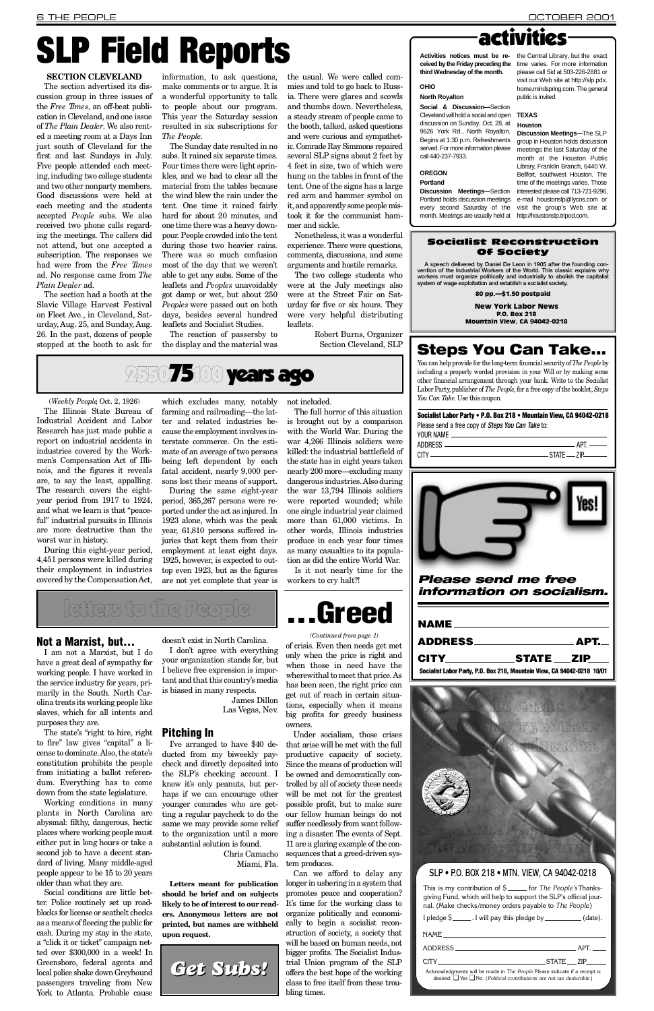| NAME <sub>2</sub>                                                       |  |
|-------------------------------------------------------------------------|--|
|                                                                         |  |
| CITY STATE ZIP                                                          |  |
| Socialist Labor Party, P.O. Box 218, Mountain View, CA 94042-0218 10/01 |  |

*Please send me free information on socialism.*

of crisis. Even then needs get met only when the price is right and when those in need have the wherewithal to meet that price. As has been seen, the right price can get out of reach in certain situations, especially when it means big profits for greedy business owners.

Under socialism, those crises that arise will be met with the full productive capacity of society. Since the means of production will be owned and democratically controlled by all of society these needs will be met not for the greatest possible profit, but to make sure our fellow human beings do not suffer needlessly from want following a disaster. The events of Sept. 11 are a glaring example of the consequences that a greed-driven system produces. Can we afford to delay any longer in ushering in a system that promotes peace and cooperation? It's time for the working class to organize politically and economically to begin a socialist reconstruction of society, a society that will be based on human needs, not bigger profits. The Socialist Industrial Union program of the SLP offers the best hope of the working class to free itself from these troubling times.

During this eight-year period, 4,451 persons were killed during their employment in industries covered by the Compensation Act,

The full horror of this situation is brought out by a comparison with the World War. During the war 4,266 Illinois soldiers were killed: the industrial battlefield of the state has in eight years taken nearly 200 more—excluding many dangerous industries. Also during the war 13,794 Illinois soldiers were reported wounded; while one single industrial year claimed more than 61,000 victims. In other words, Illinois industries produce in each year four times as many casualties to its population as did the entire World War.



(*Weekly People*, Oct. 2, 1926)

The Illinois State Bureau of Industrial Accident and Labor Research has just made public a report on industrial accidents in industries covered by the Workmen's Compensation Act of Illinois, and the figures it reveals are, to say the least, appalling. The research covers the eightyear period from 1917 to 1924, and what we learn is that "peaceful" industrial pursuits in Illinois are more destructive than the worst war in history.

The section advertised its discussion group in three issues of the *Free Times*, an off-beat publication in Cleveland, and one issue of *The Plain Dealer*. We also rented a meeting room at a Days Inn just south of Cleveland for the first and last Sundays in July. Five people attended each meeting, including two college students and two other nonparty members. Good discussions were held at each meeting and the students accepted *People* subs. We also received two phone calls regarding the meetings. The callers did not attend, but one accepted a subscription. The responses we had were from the *Free Times* ad. No response came from *The* Plain Dealer ad.

> which excludes many, notably farming and railroading—the latter and related industries because the employment involves interstate commerce. On the estimate of an average of two persons being left dependent by each fatal accident, nearly 9,000 persons lost their means of support.

> During the same eight-year period, 365,267 persons were reported under the act as injured. In 1923 alone, which was the peak year, 61,810 persons suffered injuries that kept them from their employment at least eight days. 1925, however, is expected to outtop even 1923, but as the figures are not yet complete that year is

not included.

The two college students who were at the July meetings also were at the Street Fair on Saturday for five or six hours. They were very helpful distributing leaflets.

**Social & Discussion-Section** Cleveland will hold a social and open **TEXAS** discussion on Sunday, Oct. 28, at 9626 York Rd., North Royalton. Begins at 1:30 p.m. Refreshments served. For more information please call 440-237-7933.

Is it not nearly time for the workers to cry halt?!

#### *(Continued from page 1)*

# SLP Field Reports

#### **SECTION CLEVELAND**

**Activities notices must be re-** the Central Library, but the exact please call Sid at 503-226-2881 or visit our Web site at http://slp.pdx. home.mindspring.com. The general public is invited.

### **Houston**

The section had a booth at the Slavic Village Harvest Festival on Fleet Ave., in Cleveland, Saturday, Aug. 25, and Sunday, Aug. 26. In the past, dozens of people stopped at the booth to ask for

information, to ask questions, make comments or to argue. It is a wonderful opportunity to talk to people about our program. This year the Saturday session resulted in six subscriptions for *The People*.

The Sunday date resulted in no subs. It rained six separate times. Four times there were light sprinkles, and we had to clear all the material from the tables because the wind blew the rain under the tent. One time it rained fairly hard for about 20 minutes, and one time there was a heavy downpour. People crowded into the tent during those two heavier rains. There was so much confusion most of the day that we weren't able to get any subs. Some of the leaflets and *Peoples* unavoidably got damp or wet, but about 250 *Peoples* were passed out on both days, besides several hundred leaflets and Socialist Studies.

The state's "right to hire, right **Pitching In** to fire" law gives "capital" a license to dominate. Also, the state's constitution prohibits the people from initiating a ballot referendum. Everything has to come down from the state legislature. Working conditions in many plants in North Carolina are abysmal: filthy, dangerous, hectic places where working people must either put in long hours or take a second job to have a decent standard of living. Many middle-aged people appear to be 15 to 20 years older than what they are. Social conditions are little better. Police routinely set up roadblocks for license or seatbelt checks as a means of fleecing the public for cash. During my stay in the state, a "click it or ticket" campaign netted over \$300,000 in a week! In Greensboro, federal agents and local police shake down Greyhound passengers traveling from New York to Atlanta. Probable cause

doesn't exist in North Carolina. I don't agree with everything

The reaction of passersby to the display and the material was

the usual. We were called commies and told to go back to Russia. There were glares and scowls and thumbs down. Nevertheless, a steady stream of people came to the booth, talked, asked questions and were curious and sympathetic. Comrade Ray Simmons repaired s everal SLP signs about 2 feet by 4 feet in size, two of which were hung on the tables in front of the tent. One of the signs has a large red arm and hammer symbol on it, and apparently some people mistook it for the communist hammer and sickle.

Nonetheless, it was a wonderful experience. There were questions, comments, discussions, and some arguments and hostile remarks.

> Robert Burns, Organizer Section Cleveland, SLP

### 2550**75100 years ago**

## activities

**ceived by the Friday preceding the** time varies. For more information **third Wednesday of the month.**

#### **OHIO**

#### **North Royalton**

#### **O R E G O N**

**Portland** 

**Discussion Meetings-Section** Portland holds discussion meetings every second Saturday of the month. Meetings are usually held at http://houstonslp.tripod.com.

**Discussion Meetings—**The SLP group in Houston holds discussion meetings the last Saturday of the month at the Houston Public Library, Franklin Branch, 6440 W. Bellfort, southwest Houston. The time of the meetings varies. Those interested please call 713-721-9296, e-mail houstonslp@lycos.com or visit the group's Web site at

### Steps You Can Take...

You can help provide for the long-term financial security of *The People* by including a properly worded provision in your Will or by making some other financial arrangement through your bank. Write to the Socialist Labor Party, publisher of *The People*, for a free copy of the booklet, *Steps You Can Take*. Use this coupon.

Socialist Labor Party • P.O. Box 218 • Mountain View, CA 94042-0218 Please send a free copy of *Steps You Can Take* to:





### To Break the Chains Of Wage Slavery, Workers Need Socialist Education.



#### SLP • P.O. BOX 218 • MTN. VIEW, CA 94042-0218

This is my contribution of \$ \_\_\_\_\_ for *The People's* Thanksgiving Fund, which will help to support the SLP's official journal. (Make checks/money orders payable to *The People*)

| I pledge \$ _______. I will pay this pledge by ____________(date).                                                                                              |  |              |
|-----------------------------------------------------------------------------------------------------------------------------------------------------------------|--|--------------|
| NAME NAME                                                                                                                                                       |  |              |
|                                                                                                                                                                 |  |              |
| <b>CITY</b> CITY CITY                                                                                                                                           |  | STATE __ ZIP |
| Acknowledgments will be made in The People. Please indicate if a receipt is<br>desired: $\Box$ Yes $\Box$ No. (Political contributions are not tax deductible.) |  |              |

#### Socialist Reconstruction Of Society

A speech delivered by Daniel De Leon in 1905 after the founding con-vention of the Industrial Workers of the World. This classic explains why workers must organize politically and industrially to abolish the capitalist system of wage exploitation and establish a socialist society.

80 pp.—\$1.50 postpaid

New York Labor News P.O. Box 218 Mountain View, CA 94042-0218

Not a Marxist, but...

I am not a Marxist, but I do have a great deal of sympathy for working people. I have worked in the service industry for years, primarily in the South. North Carolina treats its working people like slaves, which for all intents and purposes they are.

your organization stands for, but I believe free expression is important and that this country's media is biased in many respects.

James Dillon

Las Vegas, Nev.

I've arranged to have \$40 deducted from my biweekly paycheck and directly deposited into the SLP's checking account. I know it's only peanuts, but perhaps if we can encourage other younger comrades who are getting a regular paycheck to do the same we may provide some relief to the organization until a more substantial solution is found.

Chris Camacho Miami, Fla.

**Letters meant for publication should be brief and on subjects likely to be of interest to our readers. Anonymous letters are not printed, but names are withheld upon request.**

# letters to the People

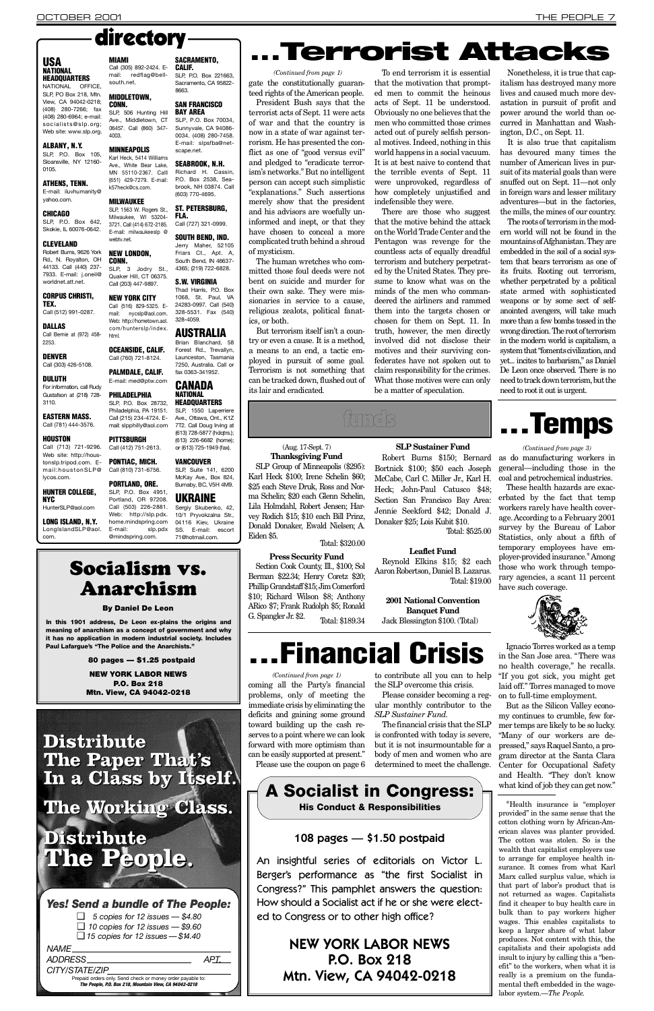teed rights of the American people. President Bush says that the terrorist acts of Sept. 11 were acts of war and that the country is now in a state of war against terrorism. He has presented the conflict as one of "good versus evil" and pledged to "eradicate terrorism's networks." But no intelligent person can accept such simplistic "explanations." Such assertions merely show that the president and his advisors are woefully uninformed and inept, or that they have chosen to conceal a more complicated truth behind a shroud of mysticism.

The human wretches who committed those foul deeds were not bent on suicide and murder for their own sake. They were missionaries in service to a cause, religious zealots, political fanatics, or both.

But terrorism itself isn't a country or even a cause. It is a method, a means to an end, a tactic employed in pursuit of some goal. Terrorism is not something that can be tracked down, flushed out of its lair and eradicated.

To end terrorism it is essential that the motivation that prompted men to commit the heinous acts of Sept. 11 be understood. Obviously no one believes that the men who committed those crimes acted out of purely selfish personal motives. Indeed, nothing in this world happens in a social vacuum. It is at best naive to contend that the terrible events of Sept. 11 were unprovoked, regardless of how completely unjustified and indefensible they were.

There are those who suggest that the motive behind the attack on the World Trade Center and the Pentagon was revenge for the countless acts of equally dreadful terrorism and butchery perpetrated by the United States. They presume to know what was on the minds of the men who commandeered the airliners and rammed them into the targets chosen or chosen for them on Sept. 11. In truth, however, the men directly involved did not disclose their motives and their surviving confederates have not spoken out to claim responsibility for the crimes. What those motives were can only

But as the Silicon Valley economy continues to crumble, few former temps are likely to be so lucky. "Many of our workers are deforward with more optimism than but it is not insurmountable for a pressed," says Raquel Santo, a pro-Center for Occupational Safety and Health. "They don't know what kind of job they can get now."

be a matter of speculation.

#### **SLP** Sustainer Fund

Nonetheless, it is true that capitalism has destroyed many more lives and caused much more devastation in pursuit of profit and power around the world than occurred in Manhattan and Washington, D.C., on Sept. 11 .

It is also true that capitalism has devoured many times the number of American lives in pursuit of its material goals than were snuffed out on Sept. 11—not only in foreign wars and lesser military adventures—but in the factories, the mills, the mines of our country.

gate the constitutionally guaran-*(Continued from page 1)*

#### USA **NATIONAL HEADQUARTERS**

E-mail: iluvhumanity@ vahoo.com.

SLP, P.O. Box 642, Skokie, IL 60076-0642.

Robert Burns, 9626 York Rd., N. Royalton, OH 44133. Call (440) 237- 7933. E-mail: j.oneil@ worldnet.att.net.

DULUTH For information, call Rudy Gustafson at (218) 728- 3110.

The roots of terrorism in the modern world will not be found in the mountains of Afghanistan. They are embedded in the soil of a social system that bears terrorism as one of its fruits. Rooting out terrorism, whether perpetrated by a political state armed with sophisticated weapons or by some sect of selfanointed avengers, will take much more than a few bombs tossed in the wrong direction. The root of terrorism in the modern world is capitalism, a system that "foments civilization, and yet... incites to barbarism," as Daniel De Leon once observed. There is no need to track down terrorism, but the need to root it out is urgent.

# ...Temps

**HOUSTON** Call (713) 721-9296. Web site: http://houstonslp.tripod.com. Email:houstonSLP@ lycos.com.

HUNTER COLLEGE, **NYC** HunterSLP@aol.com

LongIslandSLP@aol. com.

#### **MIAMI** Call (305) 892-2424. Email: redflag@bell-

Ave., Middletown, CT 06457. Call (860) 347-

**MINNEAPOLIS** 

# directory

NEW LONDON, CONN. SLP, 3 Jodry St., Quaker Hill, CT 06375. Friars Ct., Apt. A, South Bend, IN 46637- 4365; (219) 722-6828.

#### **S.W. VIRGINIA**

as do manufacturing workers in general—including those in the coal and petrochemical industries.

Call (516) 829-5325. Email: nycslp@aol.com. Web: http://hometown.aol. Thad Harris, P.O. Box 1068, St. Paul, VA 24283-0997. Call (540) 328-5531. Fax (540) 3 28 - 40 59.

#### com/hunterslp/index. **AUSTRALIA**

OCEANSIDE, CALIF. Call (760) 721-8124. PALMDALE, CALIF. E-mail: med@ptw.com **PHILADELPHIA** SLP, P.O. Box 28732, Philadelphia, PA 19151. Call (215) 234-4724. Email: slpphilly@aol.com

**PITTSBURGH** Call (412) 751-2613. PONTIAC, MICH. Call (810) 731-6756.

south.net. **MIDDLETOWN. CONN.** 

4003.

**CALIF.** SLP. P.O. Box 221663 Sacramento, CA 95822- 8663.

SACRAMENTO.

These health hazards are exacerbated by the fact that temp workers rarely have health coverage. According to a February 2001 survey by the Bureau of Labor Statistics, only about a fifth of temporary employees have employer-provided insurance.\*Among those who work through temporary agencies, a scant 11 percent have such coverage.

#### SLP, 506 Hunting Hill SAN FRANCISCO **BAY AREA**



#### SOUTH BEND, IND. Jerry Maher, 52105

Ignacio Torres worked as a temp in the San Jose area. "There was no health coverage," he recalls. "If you got sick, you might get laid off." Torres managed to move on to full-time employment.

**HEADQUARTERS** SLP. 1550 Laperriere Ave., Ottawa, Ont., K1Z 7T2. Call Doug Irving at (613) 728-5877 (hdqtrs.); (613) 226-6682 (home); or (613) 725-1949 (fax).

#### **VANCOUVER** SLP. Suite 141, 6200 McKay Ave., Box 824,

PORTLAND, ORE. SLP, P.O. Box 4951, Portland, OR 97208. Call (503) 226-2881. Burnaby, BC, V5H 4M9. **UKRAINE** 

Sergiy Skubenko, 42, 10/1 Pryvokzalna Str., 04116 Kiev, Ukraine SS. E-mail: escort 71@hotmail.com

Prepaid orders only. Send check or money order payable to: *The Pe o p l e , P. O. Box 218, Mountain View, CA 94042-0218*

In this 1901 address, De Leon ex-plains the origins and meaning of anarchism as a concept of government and why it has no application in modern industrial society. Includes Paul Lafargue's "The Police and the Anarchists."

> \*Health insurance is "employer provided" in the same sense that the cotton clothing worn by African-American slaves was planter provided. The cotton was stolen. So is the wealth that capitalist employers use to arrange for employee health insurance. It comes from what Karl Marx called surplus value, which is that part of labor's product that is not returned as wages. Capitalists find it cheaper to buy health care in bulk than to pay workers higher wages. This enables capitalists to keep a larger share of what labor produces. Not content with this, the capitalists and their apologists add insult to injury by calling this a "benefit" to the workers, when what it is really is a premium on the fundamental theft embedded in the wagelabor system.—*The People*.

**2001 National Convention Banquet Fund** Jack Blessington \$100. (Total)

NATIONAL OFFICE, SLP, PO Box 218, Mtn. View, CA 94042-0218; (408) 280-7266; fax (408) 280-6964; e-mail: socialists@slp.org; Web site: www.slp.org.

#### ALBANY, N.Y.

SLP, P.O. Box 105, Sloansville, NY 12160- 0105.

#### ATHENS, TENN.

can be easily supported at present." body of men and women who are gram director at the Santa Clara Please use the coupon on page 6 determined to meet the challenge.

#### CHICAGO

An insightful series of editorials on Victor L. Berger's performance as "the first Socialist in Congress?" This pamphlet answers the question: How should a Socialist act if he or she were elected to Congress or to other high office?

#### CLEVELAND

#### CORPUS CHRISTI, TEX. Call (512) 991-0287.

DALLAS Call Bernie at (972) 458-

DENVER

2253

### Call (303) 426-5108.

### EASTERN MASS.

### Call (781) 444-3576.

LONG ISLAND, N.Y.

k57heck@cs.com.

webtv.net.

h<sub>tml</sub>

Call (203) 447-9897. NEW YORK CITY

Karl Heck, 5414 Williams Ave., White Bear Lake, MN 55110-2367. Calll (651) 429-7279. E-mail: SEABROOK, N.H. Richard H. Cassin, P.O. Box 2538, Seabrook, NH 03874. Call (603) 770-4695.

#### **MILWAUKEE** SLP, 1563 W. Rogers St., **ST. PETERSBURG,**

Milwaukee, WI 53204- 3721. Call (414) 672-2185. E-mail: milwaukeeslp @ FLA. Call (727) 321-0999.

Web: http://slp.pdx. home.mindspring.com E-mail: slp.pdx @mindspring.com.

SLP, P.O. Box 70034, Sunnyvale, CA 94086- 0034. (408) 280-7458. E-mail: slpsfba@netscape.net.

Brian Blanchard, 58 Forest Rd., Trevallyn, Launceston, Tasmania 7250, Australia. Call or fax 0363-341952.

#### **CANADA NATIONAL**

*(Continued from page 3)*

#### *Yes! Send a bundle of The People:*

❑ *5 copies for 12 issues — \$4.80* ❑ *10 copies for 12 issues — \$9.60* ❑ *15 copies for 12 issues — \$14 . 4 0* **NAME**. *ADDRESS A P T.*

*CITY/STATE/ZIP* 

## **Distribute**

# **Terrorist Attacks**

**The Paper That's In a Class by Itself.**

**The Working Class.**

### **Distribute The People.**

### Socialism vs. Anarchism

#### By Daniel De Leon

80 pages — \$1.25 postpaid

NEW YORK LABOR NEWS P.O. Box 218 Mtn. View, CA 94042-0218

(Aug. 17-Sept. 7) **Thanksgiving Fund** SLP Group of Minneapolis (\$295): Karl Heck \$100; Irene Schelin \$60; \$25 each Steve Druk, Ross and Norma Schelin; \$20 each Glenn Schelin, Lila Holmdahl, Robert Jensen; Harvey Rodich \$15; \$10 each Bill Prinz, Donald Donaker, Ewald Nielsen; A .

Eiden \$5.

Total: \$320.00

**Press Security Fund** Section Cook County, Ill., \$100; Sol Berman \$22.34; Henry Coretz \$20; Phillip Grandstaff \$15; Jim Comerford \$10; Richard Wilson \$8; Anthony ARico \$7; Frank Rudolph \$5; Ronald G. Spangler Jr. \$2. Total: \$189.34

Robert Burns \$150; Bernard Bortnick \$100; \$50 each Joseph McCabe, Carl C. Miller Jr., Karl H. Heck; John-Paul Catusco \$48; Section San Francisco Bay Area: Jennie Seekford \$42; Donald J. Donaker \$25; Lois Kubit \$10.

Total: \$525.00

#### **Leaflet Fund**

Reynold Elkins \$15; \$2 each Aaron Robertson, Daniel B. Lazarus. Total: \$19.00

funds

to contribute all you can to help the SLP overcome this crisis.

coming all the Party's financial problems, only of meeting the immediate crisis by eliminating the deficits and gaining some ground toward building up the cash reserves to a point where we can look *(Continued from page 1)*

Please consider becoming a regular monthly contributor to the *S L P Sustainer Fund*.

The financial crisis that the SLP is confronted with today is severe,

# . . . Financial Crisis

108 pages — \$1.50 postpaid

NEW YORK LABOR NEWS P.O. Box 218 Mtn. View, CA 94042-0218

A Socialist in Congress: His Conduct & Responsibilities